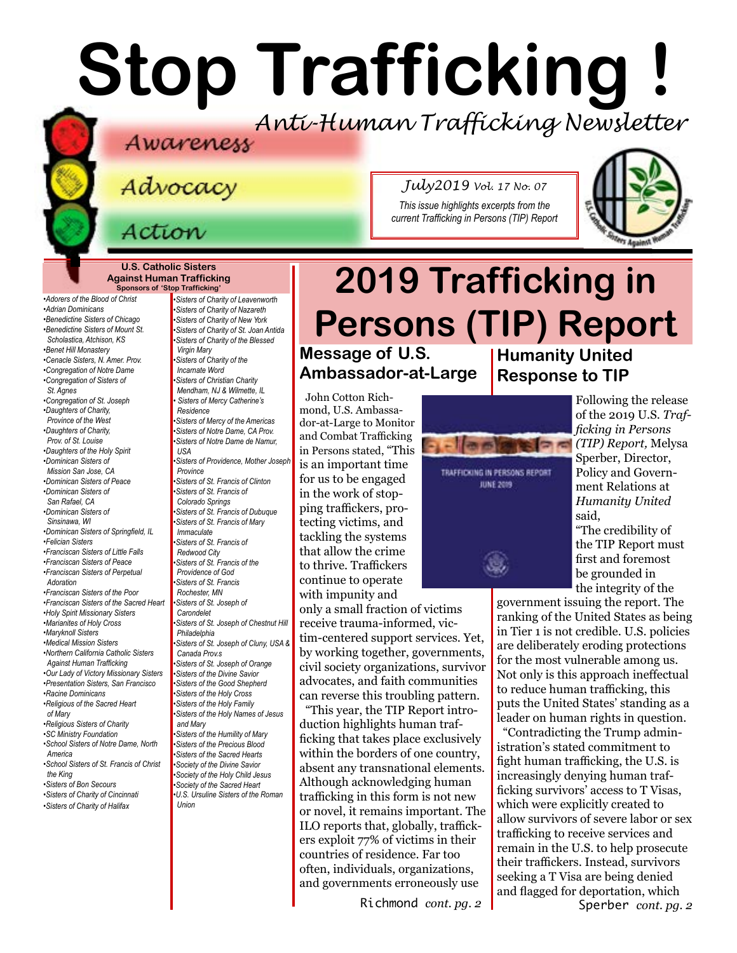# **Stop Trafficking !** *Anti-Human Trafficking Newsletter*

*July2019 Vol. 17 No. 07 This issue highlights excerpts from the current Trafficking in Persons (TIP) Report*

**U.S. Catholic Sisters Against Human Trafficking Sponsors of 'Stop Trafficking'**

*•Adorers of the Blood of Christ •Adrian Dominicans •Benedictine Sisters of Chicago •Benedictine Sisters of Mount St. Scholastica, Atchison, KS [•Benet Hill Monastery](https://benethillmonastery.org) •Cenacle Sisters, N. Amer. Prov. •Congregation of Notre Dame •Congregation of Sisters of St. Agnes [•Congregation of St. Joseph](http://www.scjoseph.org) •Daughters of Charity, Province of the West •Daughters of Charity, Prov. of St. Louise [•Daughters of the Holy Spirit](http://www.daughtersoftheholyspirit.org/) •Dominican Sisters of Mission San Jose, CA •Dominican Sisters of Peace •Dominican Sisters of San Rafael, CA •Dominican Sisters of Sinsinawa, WI •[Dominican Sisters of Springfield, IL](http://springfieldop.org/) •Felician Sisters •Franciscan Sisters of Little Falls •Franciscan Sisters of Peace [•Franciscan Sisters of Perpetual](http://franciscansisters-en.sfp-poor.org/areas/u-s-a-tag.html)  [Adoration](http://franciscansisters-en.sfp-poor.org/areas/u-s-a-tag.html) •[Franciscan Sisters of the Poor](http://franciscansisters-en.sfp-poor.org/areas/u-s-a-tag.html) [•Franciscan Sisters of the Sacred Heart](http://www.fssh.com) [•Holy Spirit Missionary Sisters](http://www.ssps-usa.org) •Marianites of Holy Cross •[Maryknoll Sisters](https://www.maryknollsisters.org/) [•Medical Mission Sisters](http://www.medicalmissionsisters.org/) •Northern California Catholic Sisters Against Human Trafficking •Our Lady of Victory Missionary Sisters •Presentation Sisters, San Francisco •[Racine Dominicans](https://www.racinedominicans.org) •Religious of the Sacred Heart of Mary •Religious Sisters of Charity [•SC Ministry Foundation](http://www.scministryfdn.org) •School Sisters of Notre Dame, North America •School Sisters of St. Francis of Christ the King [•Sisters of B](http://bonsecours.org)on Secours •Sisters of Charity of Cincinnati •Sisters of Charity of Halifax*

*•Sisters of Charity of Leavenworth •Sisters of Charity of Nazareth •Sisters of Charity of New York •Sisters of Charity of St. Joan Antida [•Sisters of Charity of the Blessed](http://www.bvmcong.org/)  [Virgin Mary](http://www.bvmcong.org/) [•Sisters of Charity of the](http://www.sistersofcharity.org/)  [Incarnate Word](http://www.sistersofcharity.org/) •Sisters of Christian Charity Mendham, NJ & Wilmette, IL • Sisters of Mercy Catherine's Residence •Sisters of Mercy of the Americas •Sisters of Notre Dame, CA Prov. •Sisters of Notre Dame de Namur, USA •[Sisters of Providence, Mother Joseph](http://sistersofprovidence.net/)  [Province](http://sistersofprovidence.net/) •Sisters of St. Francis of Clinton •Sisters of St. Francis of Colorado Springs •Sisters of St. Francis of Dubuque [•Sisters of St. Francis of](http://www.jolietfranciscans.org/) Mary Immaculate •Sisters of St. Francis of Redwood City •Sisters of St. Francis of the Providence of God [•Sisters of St. Francis](https://www.rochesterfranciscan.org/what-we-do/justice-and-peace/human-rights-issues.html)  [Rochester, MN](https://www.rochesterfranciscan.org/what-we-do/justice-and-peace/human-rights-issues.html) •Sisters of St. Joseph of Carondelet •Sisters of St. Joseph of Chestnut Hill Philadelphia •Sisters of St. Joseph of Cluny, USA & Canada Prov.s •Sisters of St. Joseph of Orange •Sisters of the Divine Savior •Sisters of the Good Shepherd •Sisters of the Holy Cross •Sisters of the Holy Family •Sisters of the Holy Names of Jesus and Mary •Sisters of the Humility of Mary •Sisters of the Precious Blood [•Sisters of the Sacred Hearts](http://www.sistersofthesacredhearts.org) [•Society of the Divine Savior](http://www.salvatorians.com) •Society of the Holy Child Jesus [•Society of the](https://rscj.org/) Sacred Heart •[U.S. Ursuline Sisters of the Roman](http://usaromanunionursulines.org/)* 

*[Union](http://usaromanunionursulines.org/)*

# **2019 Trafficking in Persons (TIP) Report Message of U.S.**

# **Ambassador-at-Large**

John Cotton Richmond, U.S. Ambassador-at-Large to Monitor and Combat Trafficking in Persons stated, "This is an important time for us to be engaged in the work of stopping traffickers, protecting victims, and tackling the systems that allow the crime to thrive. Traffickers continue to operate with impunity and

only a small fraction of victims receive trauma-informed, victim-centered support services. Yet, by working together, governments, civil society organizations, survivor advocates, and faith communities can reverse this troubling pattern.

"This year, the TIP Report introduction highlights human trafficking that takes place exclusively within the borders of one country, absent any transnational elements. Although acknowledging human trafficking in this form is not new or novel, it remains important. The ILO reports that, globally, traffickers exploit 77% of victims in their countries of residence. Far too often, individuals, organizations, and governments erroneously use

**Humanity United Response to TIP**



Following the release of the 2019 U.S. *Trafficking in Persons (TIP) Report,* Melysa Sperber, Director, Policy and Government Relations at *Humanity United*  said,

"The credibility of the TIP Report must first and foremost be grounded in the integrity of the

government issuing the report. The ranking of the United States as being in Tier 1 is not credible. U.S. policies are deliberately eroding protections for the most vulnerable among us. Not only is this approach ineffectual to reduce human trafficking, this puts the United States' standing as a leader on human rights in question.

Richmond *cont. pg. 2* Sperber *cont. pg. 2* "Contradicting the Trump administration's stated commitment to fight human trafficking, the U.S. is increasingly denying human trafficking survivors' access to T Visas, which were explicitly created to allow survivors of severe labor or sex trafficking to receive services and remain in the U.S. to help prosecute their traffickers. Instead, survivors seeking a T Visa are being denied and flagged for deportation, which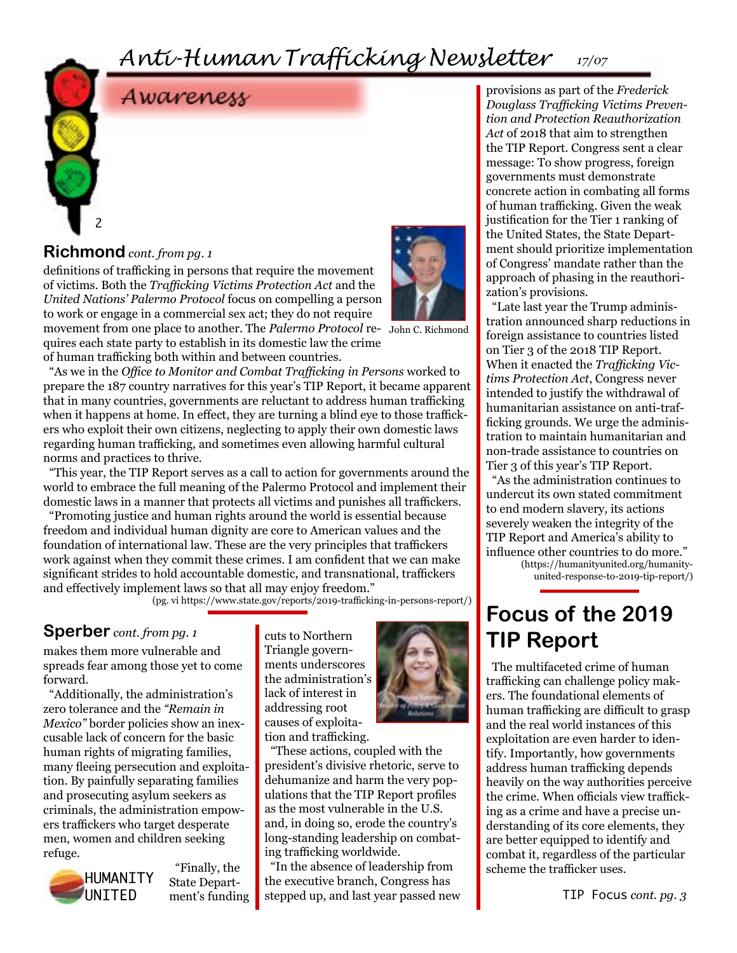# *Anti-Human Trafficking Newsletter 17/07*



definitions of trafficking in persons that require the movement of victims. Both the *Trafficking Victims Protection Act* and the *United Nations' Palermo Protocol* focus on compelling a person to work or engage in a commercial sex act; they do not require

movement from one place to another. The *Palermo Protocol* re-John C. Richmond quires each state party to establish in its domestic law the crime of human trafficking both within and between countries.

"As we in the *Office to Monitor and Combat Trafficking in Persons* worked to prepare the 187 country narratives for this year's TIP Report, it became apparent that in many countries, governments are reluctant to address human trafficking when it happens at home. In effect, they are turning a blind eye to those traffickers who exploit their own citizens, neglecting to apply their own domestic laws regarding human trafficking, and sometimes even allowing harmful cultural norms and practices to thrive.

"This year, the TIP Report serves as a call to action for governments around the world to embrace the full meaning of the Palermo Protocol and implement their domestic laws in a manner that protects all victims and punishes all traffickers.

"Promoting justice and human rights around the world is essential because freedom and individual human dignity are core to American values and the foundation of international law. These are the very principles that traffickers work against when they commit these crimes. I am confident that we can make significant strides to hold accountable domestic, and transnational, traffickers and effectively implement laws so that all may enjoy freedom."

(pg. vi https://www.state.gov/reports/2019-trafficking-in-persons-report/)

#### **Sperber** *cont. from pg. 1*

makes them more vulnerable and spreads fear among those yet to come forward.

"Additionally, the administration's zero tolerance and the *"Remain in Mexico"* border policies show an inexcusable lack of concern for the basic human rights of migrating families, many fleeing persecution and exploitation. By painfully separating families and prosecuting asylum seekers as criminals, the administration empowers traffickers who target desperate men, women and children seeking refuge.



"Finally, the State Department's funding

cuts to Northern Triangle governments underscores the administration's lack of interest in addressing root causes of exploitation and trafficking.



"These actions, coupled with the president's divisive rhetoric, serve to dehumanize and harm the very populations that the TIP Report profiles as the most vulnerable in the U.S. and, in doing so, erode the country's long-standing leadership on combating trafficking worldwide.

"In the absence of leadership from the executive branch, Congress has stepped up, and last year passed new

provisions as part of the *Frederick Douglass Trafficking Victims Prevention and Protection Reauthorization Act* of 2018 that aim to strengthen the TIP Report. Congress sent a clear message: To show progress, foreign governments must demonstrate concrete action in combating all forms of human trafficking. Given the weak justification for the Tier 1 ranking of the United States, the State Department should prioritize implementation of Congress' mandate rather than the approach of phasing in the reauthorization's provisions.

"Late last year the Trump administration announced sharp reductions in foreign assistance to countries listed on Tier 3 of the 2018 TIP Report. When it enacted the *Trafficking Victims Protection Act*, Congress never intended to justify the withdrawal of humanitarian assistance on anti-trafficking grounds. We urge the administration to maintain humanitarian and non-trade assistance to countries on Tier 3 of this year's TIP Report.

"As the administration continues to undercut its own stated commitment to end modern slavery, its actions severely weaken the integrity of the TIP Report and America's ability to influence other countries to do more." (https://humanityunited.org/humanity-

united-response-to-2019-tip-report/)

# **Focus of the 2019 TIP Report**

The multifaceted crime of human trafficking can challenge policy makers. The foundational elements of human trafficking are difficult to grasp and the real world instances of this exploitation are even harder to identify. Importantly, how governments address human trafficking depends heavily on the way authorities perceive the crime. When officials view trafficking as a crime and have a precise understanding of its core elements, they are better equipped to identify and combat it, regardless of the particular scheme the trafficker uses.

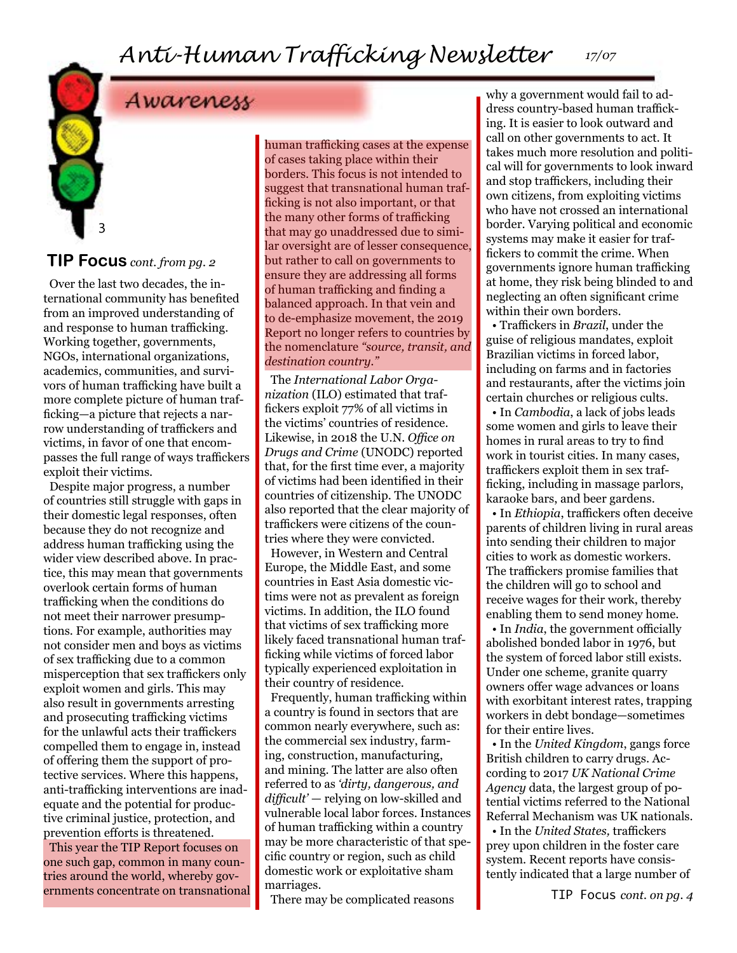# *Anti-Human Trafficking Newsletter*

*17/07*

# Awareness

#### **TIP Focus** *cont. from pg. 2*

3

Over the last two decades, the international community has benefited from an improved understanding of and response to human trafficking. Working together, governments, NGOs, international organizations, academics, communities, and survivors of human trafficking have built a more complete picture of human trafficking—a picture that rejects a narrow understanding of traffickers and victims, in favor of one that encompasses the full range of ways traffickers exploit their victims.

Despite major progress, a number of countries still struggle with gaps in their domestic legal responses, often because they do not recognize and address human trafficking using the wider view described above. In practice, this may mean that governments overlook certain forms of human trafficking when the conditions do not meet their narrower presumptions. For example, authorities may not consider men and boys as victims of sex trafficking due to a common misperception that sex traffickers only exploit women and girls. This may also result in governments arresting and prosecuting trafficking victims for the unlawful acts their traffickers compelled them to engage in, instead of offering them the support of protective services. Where this happens, anti-trafficking interventions are inadequate and the potential for productive criminal justice, protection, and prevention efforts is threatened. This year the TIP Report focuses on one such gap, common in many countries around the world, whereby governments concentrate on transnational human trafficking cases at the expense of cases taking place within their borders. This focus is not intended to suggest that transnational human trafficking is not also important, or that the many other forms of trafficking that may go unaddressed due to similar oversight are of lesser consequence, but rather to call on governments to ensure they are addressing all forms of human trafficking and finding a balanced approach. In that vein and to de-emphasize movement, the 2019 Report no longer refers to countries by the nomenclature *"source, transit, and destination country."*

The *International Labor Organization* (ILO) estimated that traffickers exploit 77% of all victims in the victims' countries of residence. Likewise, in 2018 the U.N. *Office on Drugs and Crime* (UNODC) reported that, for the first time ever, a majority of victims had been identified in their countries of citizenship. The UNODC also reported that the clear majority of traffickers were citizens of the countries where they were convicted.

However, in Western and Central Europe, the Middle East, and some countries in East Asia domestic victims were not as prevalent as foreign victims. In addition, the ILO found that victims of sex trafficking more likely faced transnational human trafficking while victims of forced labor typically experienced exploitation in their country of residence.

Frequently, human trafficking within a country is found in sectors that are common nearly everywhere, such as: the commercial sex industry, farming, construction, manufacturing, and mining. The latter are also often referred to as *'dirty, dangerous, and difficult'* — relying on low-skilled and vulnerable local labor forces. Instances of human trafficking within a country may be more characteristic of that specific country or region, such as child domestic work or exploitative sham marriages.

There may be complicated reasons

why a government would fail to address country-based human trafficking. It is easier to look outward and call on other governments to act. It takes much more resolution and political will for governments to look inward and stop traffickers, including their own citizens, from exploiting victims who have not crossed an international border. Varying political and economic systems may make it easier for traffickers to commit the crime. When governments ignore human trafficking at home, they risk being blinded to and neglecting an often significant crime within their own borders.

• Traffickers in *Brazil*, under the guise of religious mandates, exploit Brazilian victims in forced labor, including on farms and in factories and restaurants, after the victims join certain churches or religious cults.

• In *Cambodia*, a lack of jobs leads some women and girls to leave their homes in rural areas to try to find work in tourist cities. In many cases, traffickers exploit them in sex trafficking, including in massage parlors, karaoke bars, and beer gardens.

• In *Ethiopia*, traffickers often deceive parents of children living in rural areas into sending their children to major cities to work as domestic workers. The traffickers promise families that the children will go to school and receive wages for their work, thereby enabling them to send money home.

• In *India*, the government officially abolished bonded labor in 1976, but the system of forced labor still exists. Under one scheme, granite quarry owners offer wage advances or loans with exorbitant interest rates, trapping workers in debt bondage—sometimes for their entire lives.

• In the *United Kingdom*, gangs force British children to carry drugs. According to 2017 *UK National Crime Agency* data, the largest group of potential victims referred to the National Referral Mechanism was UK nationals.

• In the *United States,* traffickers prey upon children in the foster care system. Recent reports have consistently indicated that a large number of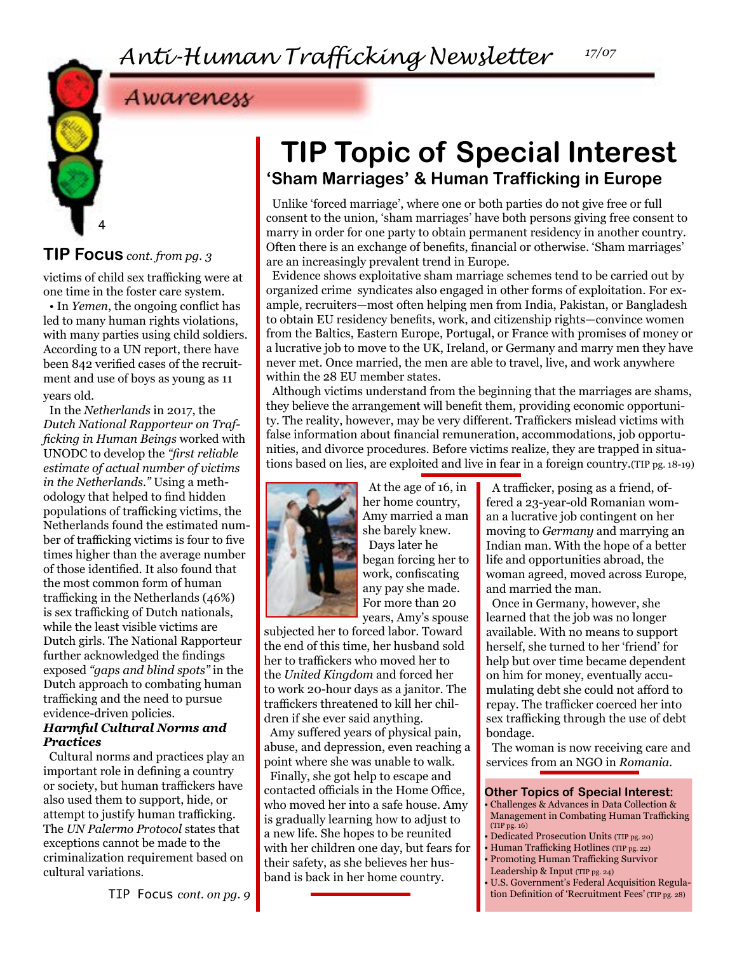*17/07*

Awareness



#### **TIP Focus** *cont. from pg. 3*

victims of child sex trafficking were at one time in the foster care system.

• In *Yemen*, the ongoing conflict has led to many human rights violations, with many parties using child soldiers. According to a UN report, there have been 842 verified cases of the recruitment and use of boys as young as 11 years old.

In the *Netherlands* in 2017, the *Dutch National Rapporteur on Trafficking in Human Beings* worked with UNODC to develop the *"first reliable estimate of actual number of victims in the Netherlands."* Using a methodology that helped to find hidden populations of trafficking victims, the Netherlands found the estimated number of trafficking victims is four to five times higher than the average number of those identified. It also found that the most common form of human trafficking in the Netherlands (46%) is sex trafficking of Dutch nationals, while the least visible victims are Dutch girls. The National Rapporteur further acknowledged the findings exposed *"gaps and blind spots"* in the Dutch approach to combating human trafficking and the need to pursue evidence-driven policies.

#### *Harmful Cultural Norms and Practices*

Cultural norms and practices play an important role in defining a country or society, but human traffickers have also used them to support, hide, or attempt to justify human trafficking. The *UN Palermo Protocol* states that exceptions cannot be made to the criminalization requirement based on cultural variations.

# **TIP Topic of Special Interest 'Sham Marriages' & Human Trafficking in Europe**

Unlike 'forced marriage', where one or both parties do not give free or full consent to the union, 'sham marriages' have both persons giving free consent to marry in order for one party to obtain permanent residency in another country. Often there is an exchange of benefits, financial or otherwise. 'Sham marriages' are an increasingly prevalent trend in Europe.

Evidence shows exploitative sham marriage schemes tend to be carried out by organized crime syndicates also engaged in other forms of exploitation. For example, recruiters—most often helping men from India, Pakistan, or Bangladesh to obtain EU residency benefits, work, and citizenship rights—convince women from the Baltics, Eastern Europe, Portugal, or France with promises of money or a lucrative job to move to the UK, Ireland, or Germany and marry men they have never met. Once married, the men are able to travel, live, and work anywhere within the 28 EU member states.

Although victims understand from the beginning that the marriages are shams, they believe the arrangement will benefit them, providing economic opportunity. The reality, however, may be very different. Traffickers mislead victims with false information about financial remuneration, accommodations, job opportunities, and divorce procedures. Before victims realize, they are trapped in situations based on lies, are exploited and live in fear in a foreign country.(TIP pg. 18-19)



At the age of 16, in her home country, Amy married a man she barely knew. Days later he began forcing her to work, confiscating any pay she made. For more than 20 years, Amy's spouse

subjected her to forced labor. Toward the end of this time, her husband sold her to traffickers who moved her to the *United Kingdom* and forced her to work 20-hour days as a janitor. The traffickers threatened to kill her children if she ever said anything.

Amy suffered years of physical pain, abuse, and depression, even reaching a point where she was unable to walk.

Finally, she got help to escape and contacted officials in the Home Office, who moved her into a safe house. Amy is gradually learning how to adjust to a new life. She hopes to be reunited with her children one day, but fears for their safety, as she believes her husband is back in her home country.

A trafficker, posing as a friend, offered a 23-year-old Romanian woman a lucrative job contingent on her moving to *Germany* and marrying an Indian man. With the hope of a better life and opportunities abroad, the woman agreed, moved across Europe, and married the man.

Once in Germany, however, she learned that the job was no longer available. With no means to support herself, she turned to her 'friend' for help but over time became dependent on him for money, eventually accumulating debt she could not afford to repay. The trafficker coerced her into sex trafficking through the use of debt bondage.

The woman is now receiving care and services from an NGO in *Romania*.

#### **Other Topics of Special Interest:**

- Challenges & Advances in Data Collection & Management in Combating Human Trafficking (TIP pg. 16)
- Dedicated Prosecution Units (TIP pg. 20)
- Human Trafficking Hotlines (TIP pg. 22) • Promoting Human Trafficking Survivor
- Leadership & Input (TIP pg. 24)
- U.S. Government's Federal Acquisition Regula-TIP FOCUS *cont. on pg. 9* tion Definition of 'Recruitment Fees' (TIP pg. 28)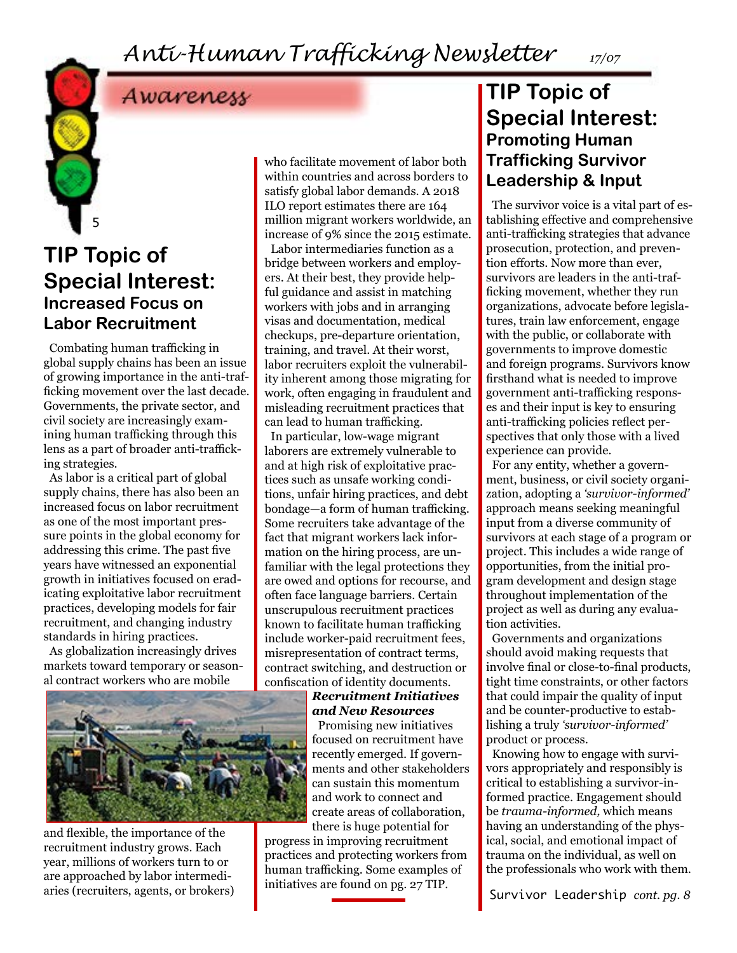# *Anti-Human Trafficking Newsletter*

*17/07*



# Awareness

## **TIP Topic of Special Interest: Increased Focus on Labor Recruitment**

Combating human trafficking in global supply chains has been an issue of growing importance in the anti-trafficking movement over the last decade. Governments, the private sector, and civil society are increasingly examining human trafficking through this lens as a part of broader anti-trafficking strategies.

As labor is a critical part of global supply chains, there has also been an increased focus on labor recruitment as one of the most important pressure points in the global economy for addressing this crime. The past five years have witnessed an exponential growth in initiatives focused on eradicating exploitative labor recruitment practices, developing models for fair recruitment, and changing industry standards in hiring practices.

As globalization increasingly drives markets toward temporary or seasonal contract workers who are mobile



and flexible, the importance of the recruitment industry grows. Each year, millions of workers turn to or are approached by labor intermediaries (recruiters, agents, or brokers)

who facilitate movement of labor both within countries and across borders to satisfy global labor demands. A 2018 ILO report estimates there are 164 million migrant workers worldwide, an increase of 9% since the 2015 estimate. Labor intermediaries function as a

bridge between workers and employers. At their best, they provide helpful guidance and assist in matching workers with jobs and in arranging visas and documentation, medical checkups, pre-departure orientation, training, and travel. At their worst, labor recruiters exploit the vulnerability inherent among those migrating for work, often engaging in fraudulent and misleading recruitment practices that can lead to human trafficking.

In particular, low-wage migrant laborers are extremely vulnerable to and at high risk of exploitative practices such as unsafe working conditions, unfair hiring practices, and debt bondage—a form of human trafficking. Some recruiters take advantage of the fact that migrant workers lack information on the hiring process, are unfamiliar with the legal protections they are owed and options for recourse, and often face language barriers. Certain unscrupulous recruitment practices known to facilitate human trafficking include worker-paid recruitment fees, misrepresentation of contract terms, contract switching, and destruction or confiscation of identity documents.

#### *Recruitment Initiatives and New Resources*

Promising new initiatives focused on recruitment have recently emerged. If governments and other stakeholders can sustain this momentum and work to connect and create areas of collaboration, there is huge potential for

progress in improving recruitment practices and protecting workers from human trafficking. Some examples of initiatives are found on pg. 27 TIP.

### **TIP Topic of Special Interest: Promoting Human Trafficking Survivor Leadership & Input**

The survivor voice is a vital part of establishing effective and comprehensive anti-trafficking strategies that advance prosecution, protection, and prevention efforts. Now more than ever, survivors are leaders in the anti-trafficking movement, whether they run organizations, advocate before legislatures, train law enforcement, engage with the public, or collaborate with governments to improve domestic and foreign programs. Survivors know firsthand what is needed to improve government anti-trafficking responses and their input is key to ensuring anti-trafficking policies reflect perspectives that only those with a lived experience can provide.

For any entity, whether a government, business, or civil society organization, adopting a *'survivor-informed'*  approach means seeking meaningful input from a diverse community of survivors at each stage of a program or project. This includes a wide range of opportunities, from the initial program development and design stage throughout implementation of the project as well as during any evaluation activities.

Governments and organizations should avoid making requests that involve final or close-to-final products, tight time constraints, or other factors that could impair the quality of input and be counter-productive to establishing a truly *'survivor-informed'*  product or process.

Knowing how to engage with survivors appropriately and responsibly is critical to establishing a survivor-informed practice. Engagement should be *trauma-informed,* which means having an understanding of the physical, social, and emotional impact of trauma on the individual, as well on the professionals who work with them.

Survivor Leadership *cont. pg. 8*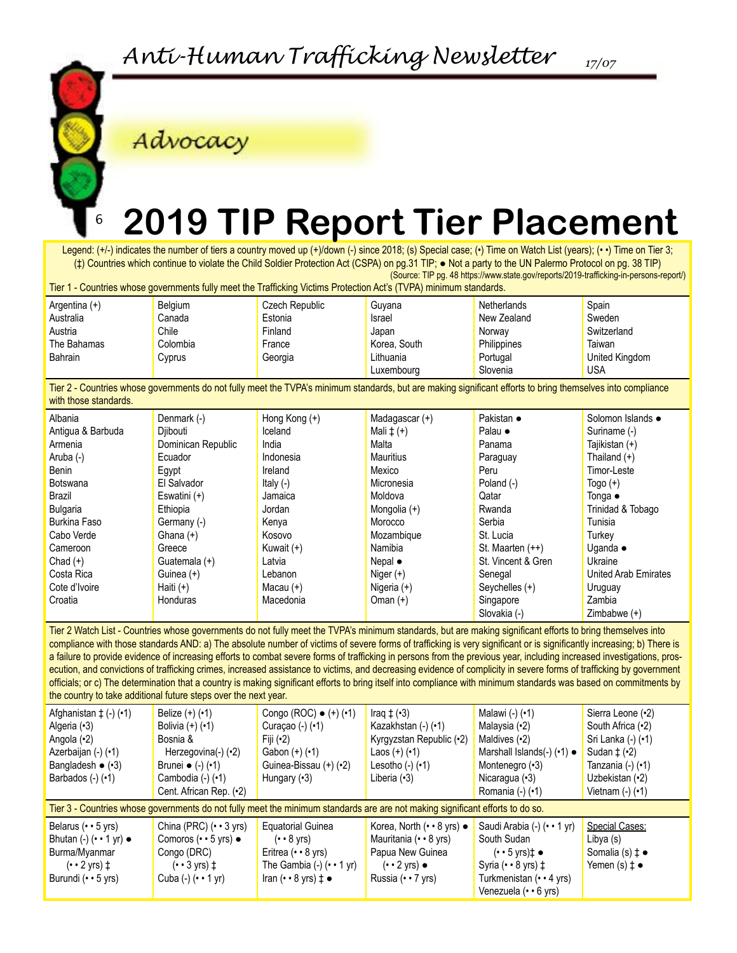

Advocacy

#### 6 **2019 TIP Report Tier Placement**

Legend: (+/-) indicates the number of tiers a country moved up (+)/down (-) since 2018; (s) Special case; (•) Time on Watch List (years); (• •) Time on Tier 3; (‡) Countries which continue to violate the Child Soldier Protection Act (CSPA) on pg.31 TIP; ● Not a party to the UN Palermo Protocol on pg. 38 TIP) (Source: TIP pg. 48 https://www.state.gov/reports/2019-trafficking-in-persons-report/)

Tier 1 - Countries whose governments fully meet the Trafficking Victims Protection Act's (TVPA) minimum standards.

| Argentina $(+)$ | Belgium  | Czech Republic | Guvana        | Netherlands | Spain          |
|-----------------|----------|----------------|---------------|-------------|----------------|
| Australia       | Canada   | Estonia        | <b>Israel</b> | New Zealand | Sweden         |
| Austria         | Chile    | Finland        | Japan         | Norway      | Switzerland    |
| The Bahamas     | Colombia | France         | Korea, South  | Philippines | Taiwan         |
| <b>Bahrain</b>  | Cyprus   | Georgia        | Lithuania     | Portugal    | United Kingdom |
|                 |          |                | Luxembourg    | Slovenia    | <b>USA</b>     |

Tier 2 - Countries whose governments do not fully meet the TVPA's minimum standards, but are making significant efforts to bring themselves into compliance with those standards.

| Albania             | Denmark (-)        | Hong Kong $(+)$ | Madagascar (+)   | Pakistan •         | Solomon Islands •    |
|---------------------|--------------------|-----------------|------------------|--------------------|----------------------|
| Antigua & Barbuda   | Djibouti           | Iceland         | Mali $\pm$ (+)   | Palau •            | Suriname (-)         |
| Armenia             | Dominican Republic | India           | Malta            | Panama             | Tajikistan (+)       |
| Aruba (-)           | Ecuador            | Indonesia       | <b>Mauritius</b> | Paraguay           | Thailand $(+)$       |
| Benin               | Egypt              | Ireland         | Mexico           | Peru               | Timor-Leste          |
| <b>Botswana</b>     | El Salvador        | Italy $(-)$     | Micronesia       | Poland (-)         | Togo $(+)$           |
| Brazil              | Eswatini (+)       | Jamaica         | Moldova          | Qatar              | Tonga •              |
| <b>Bulgaria</b>     | Ethiopia           | Jordan          | Mongolia (+)     | Rwanda             | Trinidad & Tobago    |
| <b>Burkina Faso</b> | Germany (-)        | Kenya           | Morocco          | Serbia             | Tunisia              |
| Cabo Verde          | Ghana $(+)$        | Kosovo          | Mozambique       | St. Lucia          | Turkey               |
| Cameroon            | Greece             | Kuwait $(+)$    | Namibia          | St. Maarten (++)   | Uganda $\bullet$     |
| Chad $(+)$          | Guatemala (+)      | Latvia          | Nepal $\bullet$  | St. Vincent & Gren | Ukraine              |
| Costa Rica          | Guinea (+)         | Lebanon         | Niger $(+)$      | Senegal            | United Arab Emirates |
| Cote d'Ivoire       | Haiti $(+)$        | Macau $(+)$     | Nigeria (+)      | Seychelles (+)     | Uruguay              |
| Croatia             | Honduras           | Macedonia       | Oman $(+)$       | Singapore          | Zambia               |
|                     |                    |                 |                  | Slovakia (-)       | Zimbabwe $(+)$       |

Tier 2 Watch List - Countries whose governments do not fully meet the TVPA's minimum standards, but are making significant efforts to bring themselves into compliance with those standards AND: a) The absolute number of victims of severe forms of trafficking is very significant or is significantly increasing; b) There is a failure to provide evidence of increasing efforts to combat severe forms of trafficking in persons from the previous year, including increased investigations, prosecution, and convictions of trafficking crimes, increased assistance to victims, and decreasing evidence of complicity in severe forms of trafficking by government officials; or c) The determination that a country is making significant efforts to bring itself into compliance with minimum standards was based on commitments by the country to take additional future steps over the next year.

| Afghanistan $\pm$ (-) ( $\cdot$ 1)<br>Algeria (•3)<br>Angola (•2)<br>Azerbaijan (-) (•1)<br>Bangladesh $\bullet$ ( $\cdot$ 3)<br>Barbados $(-)$ $(•1)$ | Belize $(+)$ $(+)$<br>Bolivia $(+)$ $(+)$<br>Bosnia &<br>Herzegovina(-) (•2)<br>Brunei $\bullet$ (-) ( $\cdot$ 1)<br>Cambodia (-) (•1)<br>Cent. African Rep. (•2)                     | Congo (ROC) $\bullet$ (+) ( $\cdot$ 1)<br>Curaçao $(-)$ $(•1)$<br>Fiji $(•2)$<br>Gabon $(+)$ $(+)$<br>Guinea-Bissau (+) (•2)<br>Hungary $(3)$                                         | Iraq $\pm$ ( $\cdot$ 3)<br>Kazakhstan (-) (•1)<br>Kyrgyzstan Republic (.2)<br>Laos $(+)$ $(+)$<br>Lesotho $(-)$ $(•1)$<br>Liberia $(3)$ | Malawi (-) (•1)<br>Malaysia (•2)<br>Maldives $(•2)$<br>Marshall Islands(-) (•1) •<br>Montenegro (.3)<br>Nicaragua $(3)$<br>Romania $(-)$ $(•1)$                                      | Sierra Leone (.2)<br>South Africa (.2)<br>Sri Lanka (-) (•1)<br>Sudan $\pm$ ( $\cdot$ 2)<br>Tanzania (-) (•1)<br>Uzbekistan (·2)<br>Vietnam $(-)$ $(•1)$ |  |  |
|--------------------------------------------------------------------------------------------------------------------------------------------------------|---------------------------------------------------------------------------------------------------------------------------------------------------------------------------------------|---------------------------------------------------------------------------------------------------------------------------------------------------------------------------------------|-----------------------------------------------------------------------------------------------------------------------------------------|--------------------------------------------------------------------------------------------------------------------------------------------------------------------------------------|----------------------------------------------------------------------------------------------------------------------------------------------------------|--|--|
| Tier 3 - Countries whose governments do not fully meet the minimum standards are are not making significant efforts to do so.                          |                                                                                                                                                                                       |                                                                                                                                                                                       |                                                                                                                                         |                                                                                                                                                                                      |                                                                                                                                                          |  |  |
| Belarus $(• • 5$ yrs)<br>Bhutan $(-)$ $(\cdot \cdot 1$ yr) $\bullet$<br>Burma/Myanmar<br>$(\cdot \cdot 2 \text{ yrs})$ ‡<br>Burundi (•• 5 yrs)         | China (PRC) $(\cdot \cdot 3 \text{ yrs})$<br>Comoros $(\cdot \cdot 5 \text{ yrs})$ $\bullet$<br>Congo (DRC)<br>$(\cdot \cdot 3 \text{ vrs})$ $\pm$<br>Cuba $(-)$ $(\cdot \cdot 1$ yr) | <b>Equatorial Guinea</b><br>$(• • 8 \text{ yrs})$<br>Eritrea $(• • 8$ yrs)<br>The Gambia $(-)$ $( \cdot \cdot 1 \text{ yr})$<br>Iran $(\cdot \cdot 8 \text{ yrs}) \downarrow \bullet$ | Korea, North (•• 8 yrs) •<br>Mauritania (•• 8 yrs)<br>Papua New Guinea<br>$(·$ 2 yrs) $\bullet$<br>Russia (•• 7 yrs)                    | Saudi Arabia (-) (•• 1 yr)<br>South Sudan<br>$(\cdot \cdot 5 \text{ yrs})$ $\uparrow$ $\bullet$<br>Syria $(* • 8$ yrs) $\ddagger$<br>Turkmenistan (•• 4 yrs)<br>Venezuela (•• 6 yrs) | Special Cases:<br>Libya (s)<br>Somalia (s) $\uparrow \bullet$<br>Yemen (s) $\uparrow \bullet$                                                            |  |  |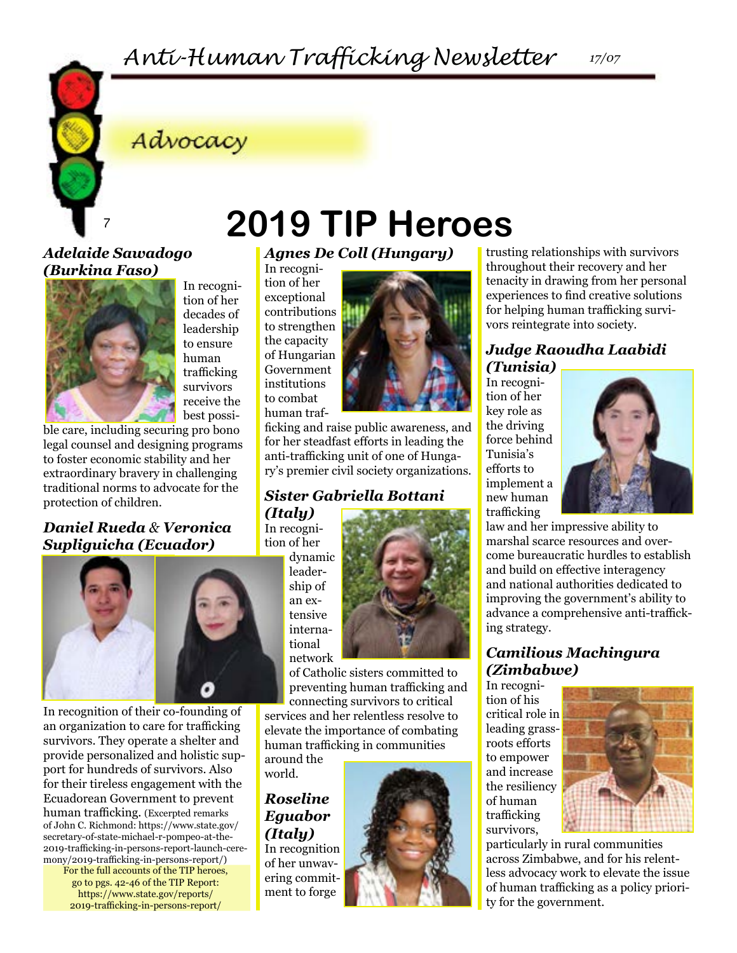# Advocacy

#### *Adelaide Sawadogo (Burkina Faso)*



In recognition of her decades of leadership to ensure human trafficking survivors receive the best possi-

ble care, including securing pro bono legal counsel and designing programs to foster economic stability and her extraordinary bravery in challenging traditional norms to advocate for the protection of children.

#### *Daniel Rueda & Veronica Supliguicha (Ecuador)*



In recognition of their co-founding of an organization to care for trafficking survivors. They operate a shelter and provide personalized and holistic support for hundreds of survivors. Also for their tireless engagement with the Ecuadorean Government to prevent human trafficking. (Excerpted remarks of John C. Richmond: https://www.state.gov/ secretary-of-state-michael-r-pompeo-at-the-2019-trafficking-in-persons-report-launch-ceremony/2019-trafficking-in-persons-report/)

For the full accounts of the TIP heroes, go to pgs. 42-46 of the TIP Report: https://www.state.gov/reports/ 2019-trafficking-in-persons-report/

# <sup>7</sup> **2019 TIP Heroes**

*Agnes De Coll (Hungary)*

In recognition of her exceptional contributions to strengthen the capacity of Hungarian Government institutions to combat human traf-



ficking and raise public awareness, and for her steadfast efforts in leading the anti-trafficking unit of one of Hungary's premier civil society organizations.

#### *Sister Gabriella Bottani*

*(Italy)* In recognition of her dynamic

leadership of an extensive international network



of Catholic sisters committed to preventing human trafficking and

connecting survivors to critical services and her relentless resolve to elevate the importance of combating human trafficking in communities

around the world.

#### *Roseline Eguabor (Italy)*

In recognition of her unwavering commitment to forge



trusting relationships with survivors throughout their recovery and her tenacity in drawing from her personal experiences to find creative solutions

tion of her key role as the driving force behind Tunisia's efforts to implement a new human trafficking



law and her impressive ability to marshal scarce resources and overcome bureaucratic hurdles to establish and build on effective interagency and national authorities dedicated to improving the government's ability to advance a comprehensive anti-trafficking strategy.

#### *Camilious Machingura (Zimbabwe)*

In recognition of his critical role in leading grassroots efforts to empower and increase the resiliency of human trafficking survivors,



particularly in rural communities across Zimbabwe, and for his relentless advocacy work to elevate the issue of human trafficking as a policy priority for the government.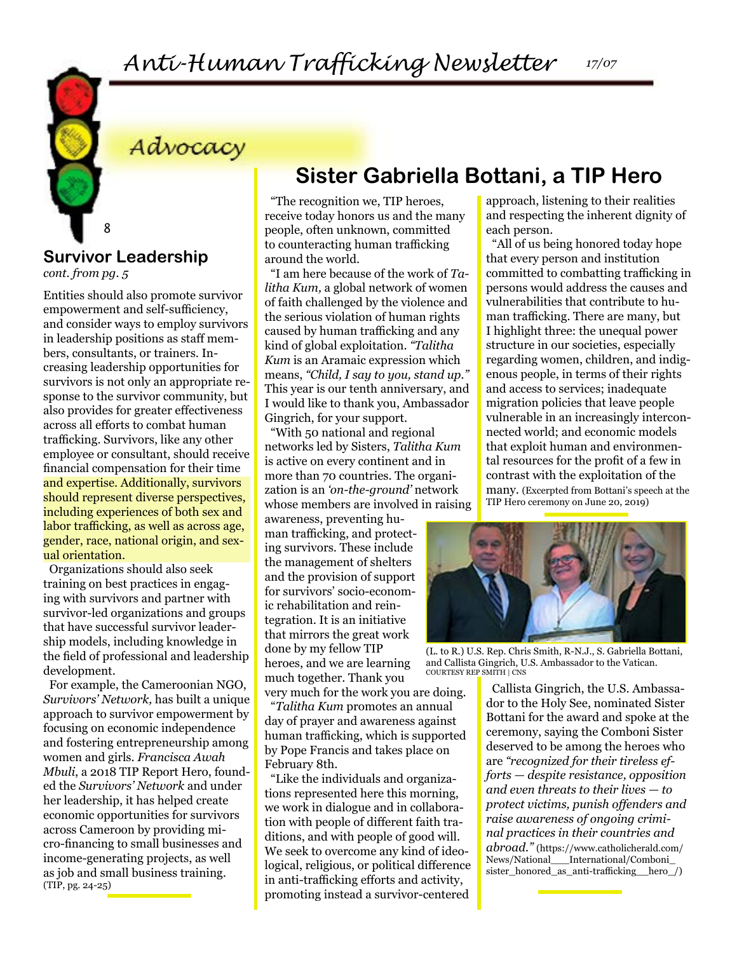Advocacy

#### **Survivor Leadership**  *cont. from pg. 5*

8

Entities should also promote survivor empowerment and self-sufficiency, and consider ways to employ survivors in leadership positions as staff members, consultants, or trainers. Increasing leadership opportunities for survivors is not only an appropriate response to the survivor community, but also provides for greater effectiveness across all efforts to combat human trafficking. Survivors, like any other employee or consultant, should receive financial compensation for their time and expertise. Additionally, survivors should represent diverse perspectives, including experiences of both sex and labor trafficking, as well as across age, gender, race, national origin, and sexual orientation.

Organizations should also seek training on best practices in engaging with survivors and partner with survivor-led organizations and groups that have successful survivor leadership models, including knowledge in the field of professional and leadership development.

For example, the Cameroonian NGO, *Survivors' Network,* has built a unique approach to survivor empowerment by focusing on economic independence and fostering entrepreneurship among women and girls. *Francisca Awah Mbuli*, a 2018 TIP Report Hero, founded the *Survivors' Network* and under her leadership, it has helped create economic opportunities for survivors across Cameroon by providing micro-financing to small businesses and income-generating projects, as well as job and small business training. (TIP, pg. 24-25)

## **Sister Gabriella Bottani, a TIP Hero**

"The recognition we, TIP heroes, receive today honors us and the many people, often unknown, committed to counteracting human trafficking around the world.

"I am here because of the work of *Talitha Kum,* a global network of women of faith challenged by the violence and the serious violation of human rights caused by human trafficking and any kind of global exploitation. *"Talitha Kum* is an Aramaic expression which means, *"Child, I say to you, stand up."*  This year is our tenth anniversary, and I would like to thank you, Ambassador Gingrich, for your support.

"With 50 national and regional networks led by Sisters, *Talitha Kum*  is active on every continent and in more than 70 countries. The organization is an *'on-the-ground'* network whose members are involved in raising

awareness, preventing human trafficking, and protecting survivors. These include the management of shelters and the provision of support for survivors' socio-economic rehabilitation and reintegration. It is an initiative that mirrors the great work done by my fellow TIP heroes, and we are learning much together. Thank you

very much for the work you are doing. "*Talitha Kum* promotes an annual day of prayer and awareness against human trafficking, which is supported by Pope Francis and takes place on February 8th.

"Like the individuals and organizations represented here this morning, we work in dialogue and in collaboration with people of different faith traditions, and with people of good will. We seek to overcome any kind of ideological, religious, or political difference in anti-trafficking efforts and activity, promoting instead a survivor-centered approach, listening to their realities and respecting the inherent dignity of each person.

*17/07*

"All of us being honored today hope that every person and institution committed to combatting trafficking in persons would address the causes and vulnerabilities that contribute to human trafficking. There are many, but I highlight three: the unequal power structure in our societies, especially regarding women, children, and indigenous people, in terms of their rights and access to services; inadequate migration policies that leave people vulnerable in an increasingly interconnected world; and economic models that exploit human and environmental resources for the profit of a few in contrast with the exploitation of the many. (Excerpted from Bottani's speech at the TIP Hero ceremony on June 20, 2019)



(L. to R.) U.S. Rep. Chris Smith, R-N.J., S. Gabriella Bottani, and Callista Gingrich, U.S. Ambassador to the Vatican. COURTESY REP SMITH | CNS

Callista Gingrich, the U.S. Ambassador to the Holy See, nominated Sister Bottani for the award and spoke at the ceremony, saying the Comboni Sister deserved to be among the heroes who are *"recognized for their tireless efforts — despite resistance, opposition and even threats to their lives — to protect victims, punish offenders and raise awareness of ongoing criminal practices in their countries and abroad."* (https://www.catholicherald.com/ News/National\_\_\_International/Comboni\_ sister\_honored\_as\_anti-trafficking\_\_hero\_/)